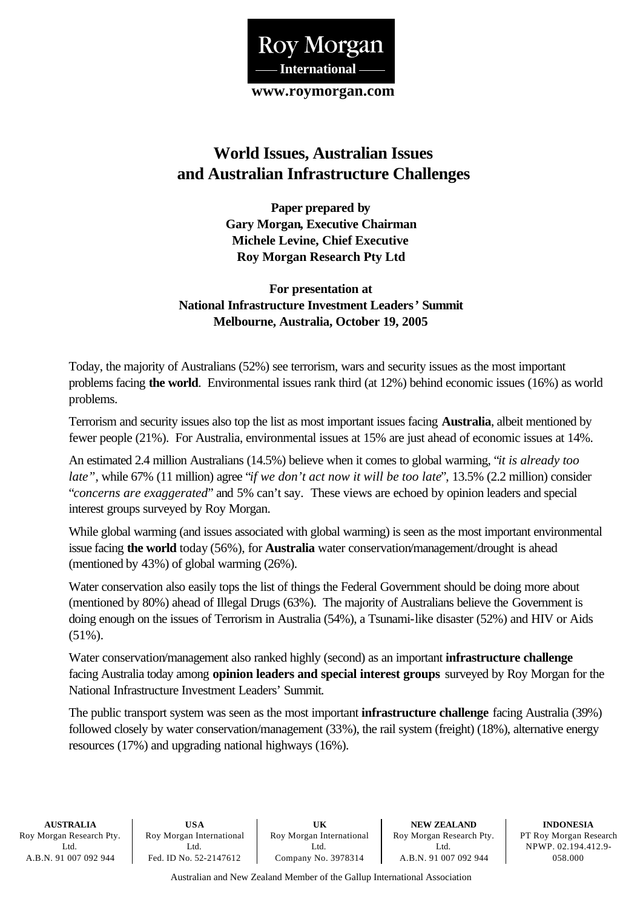

# **World Issues, Australian Issues and Australian Infrastructure Challenges**

**Paper prepared by Gary Morgan, Executive Chairman Michele Levine, Chief Executive Roy Morgan Research Pty Ltd**

**For presentation at National Infrastructure Investment Leaders' Summit Melbourne, Australia, October 19, 2005**

Today, the majority of Australians (52%) see terrorism, wars and security issues as the most important problems facing **the world**. Environmental issues rank third (at 12%) behind economic issues (16%) as world problems.

Terrorism and security issues also top the list as most important issues facing **Australia**, albeit mentioned by fewer people (21%). For Australia, environmental issues at 15% are just ahead of economic issues at 14%.

An estimated 2.4 million Australians (14.5%) believe when it comes to global warming, "*it is already too late"*, while 67% (11 million) agree "*if we don't act now it will be too late*", 13.5% (2.2 million) consider "*concerns are exaggerated*" and 5% can't say. These views are echoed by opinion leaders and special interest groups surveyed by Roy Morgan.

While global warming (and issues associated with global warming) is seen as the most important environmental issue facing **the world** today (56%), for **Australia** water conservation/management/drought is ahead (mentioned by 43%) of global warming (26%).

Water conservation also easily tops the list of things the Federal Government should be doing more about (mentioned by 80%) ahead of Illegal Drugs (63%). The majority of Australians believe the Government is doing enough on the issues of Terrorism in Australia (54%), a Tsunami-like disaster (52%) and HIV or Aids (51%).

Water conservation/management also ranked highly (second) as an important **infrastructure challenge** facing Australia today among **opinion leaders and special interest groups** surveyed by Roy Morgan for the National Infrastructure Investment Leaders' Summit.

The public transport system was seen as the most important **infrastructure challenge** facing Australia (39%) followed closely by water conservation/management (33%), the rail system (freight) (18%), alternative energy resources (17%) and upgrading national highways (16%).

**AUSTRALIA** Roy Morgan Research Pty. Ltd. A.B.N. 91 007 092 944

**USA** Roy Morgan International L<sub>td</sub> Fed. ID No. 52-2147612

**UK** Roy Morgan International L<sub>td</sub> Company No. 3978314

**NEW ZEALAND** Roy Morgan Research Pty. L<sub>td</sub> A.B.N. 91 007 092 944

**INDONESIA** PT Roy Morgan Research NPWP. 02.194.412.9- 058.000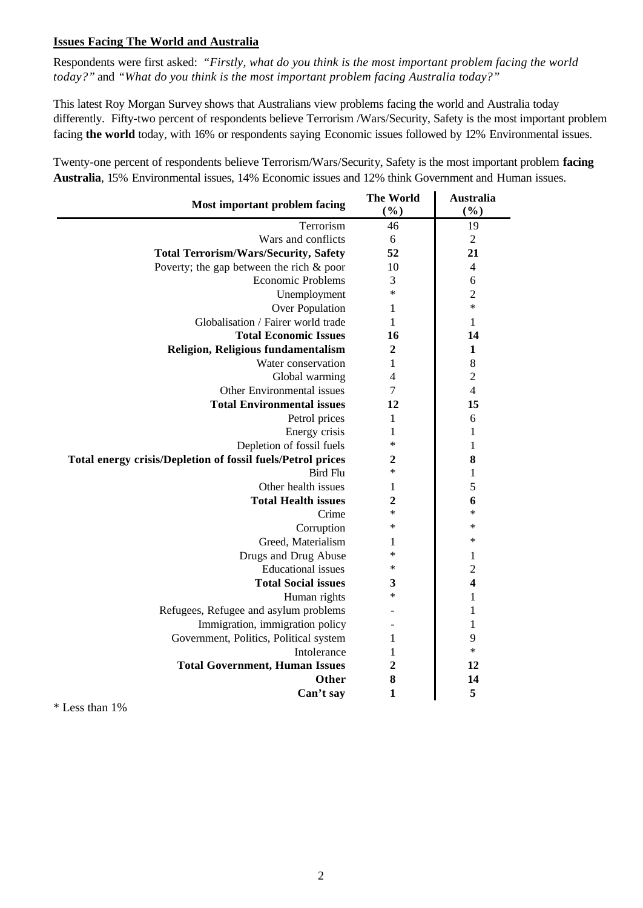# **Issues Facing The World and Australia**

Respondents were first asked: *"Firstly, what do you think is the most important problem facing the world today?"* and *"What do you think is the most important problem facing Australia today?"*

This latest Roy Morgan Survey shows that Australians view problems facing the world and Australia today differently. Fifty-two percent of respondents believe Terrorism /Wars/Security, Safety is the most important problem facing **the world** today, with 16% or respondents saying Economic issues followed by 12% Environmental issues.

Twenty-one percent of respondents believe Terrorism/Wars/Security, Safety is the most important problem **facing Australia**, 15% Environmental issues, 14% Economic issues and 12% think Government and Human issues.

|                                                             | <b>The World</b> | Australia               |
|-------------------------------------------------------------|------------------|-------------------------|
| Most important problem facing                               | (%)              | (%)                     |
| Terrorism                                                   | 46               | 19                      |
| Wars and conflicts                                          | 6                | 2                       |
| <b>Total Terrorism/Wars/Security, Safety</b>                | 52               | 21                      |
| Poverty; the gap between the rich $\&$ poor                 | 10               | $\overline{4}$          |
| <b>Economic Problems</b>                                    | 3                | 6                       |
| Unemployment                                                | $\ast$           | $\overline{2}$          |
| Over Population                                             | 1                | $\ast$                  |
| Globalisation / Fairer world trade                          | $\mathbf{1}$     | $\mathbf{1}$            |
| <b>Total Economic Issues</b>                                | 16               | 14                      |
| <b>Religion, Religious fundamentalism</b>                   | $\boldsymbol{2}$ | $\mathbf{1}$            |
| Water conservation                                          | 1                | 8                       |
| Global warming                                              | $\overline{4}$   | $\overline{c}$          |
| Other Environmental issues                                  | $\overline{7}$   | $\overline{4}$          |
| <b>Total Environmental issues</b>                           | 12               | 15                      |
| Petrol prices                                               | 1                | 6                       |
| Energy crisis                                               | 1                | 1                       |
| Depletion of fossil fuels                                   | $\ast$           | 1                       |
| Total energy crisis/Depletion of fossil fuels/Petrol prices | $\overline{2}$   | 8                       |
| <b>Bird Flu</b>                                             | $\ast$           | 1                       |
| Other health issues                                         | 1                | 5                       |
| <b>Total Health issues</b>                                  | $\overline{2}$   | 6                       |
| Crime                                                       | $\ast$           | ∗                       |
| Corruption                                                  | $\ast$           | ∗                       |
| Greed, Materialism                                          | 1                | ∗                       |
| Drugs and Drug Abuse                                        | $\ast$           | 1                       |
| <b>Educational</b> issues                                   | $\ast$           | $\mathbf{c}$            |
| <b>Total Social issues</b>                                  | 3                | $\overline{\mathbf{4}}$ |
| Human rights                                                | $\ast$           | 1                       |
| Refugees, Refugee and asylum problems                       |                  | 1                       |
| Immigration, immigration policy                             |                  | 1                       |
| Government, Politics, Political system                      | 1                | 9                       |
| Intolerance                                                 | 1                | $\ast$                  |
| <b>Total Government, Human Issues</b>                       | $\overline{2}$   | 12                      |
| Other                                                       | 8                | 14                      |
| Can't say                                                   | $\mathbf{1}$     | 5                       |

\* Less than 1%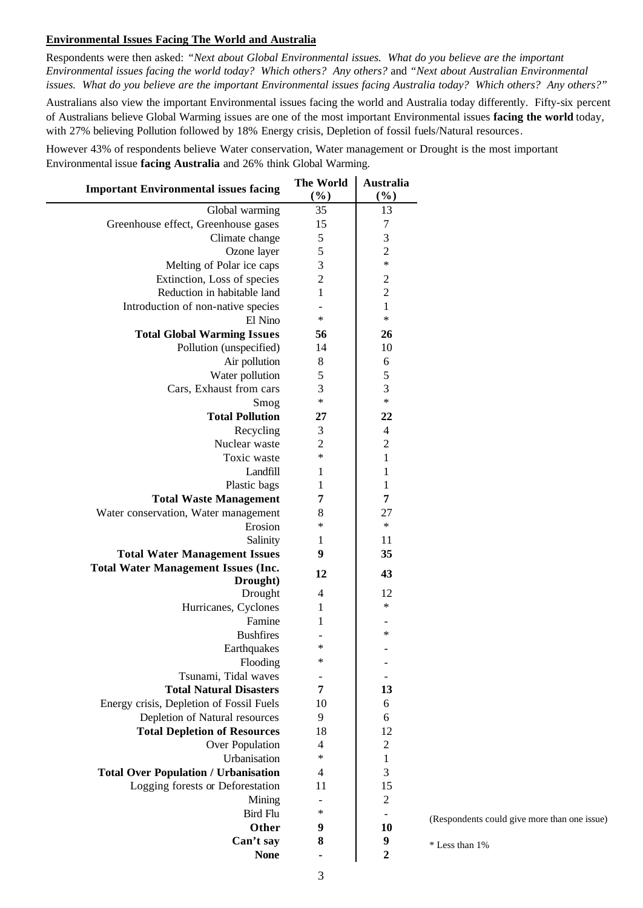# **Environmental Issues Facing The World and Australia**

Respondents were then asked: *"Next about Global Environmental issues. What do you believe are the important Environmental issues facing the world today? Which others? Any others?* and *"Next about Australian Environmental issues. What do you believe are the important Environmental issues facing Australia today? Which others? Any others?"*

Australians also view the important Environmental issues facing the world and Australia today differently. Fifty-six percent of Australians believe Global Warming issues are one of the most important Environmental issues **facing the world** today, with 27% believing Pollution followed by 18% Energy crisis, Depletion of fossil fuels/Natural resources.

However 43% of respondents believe Water conservation, Water management or Drought is the most important Environmental issue **facing Australia** and 26% think Global Warming.

| <b>Important Environmental issues facing</b> | <b>The World</b><br>(%) | <b>Australia</b><br>(%) |      |
|----------------------------------------------|-------------------------|-------------------------|------|
| Global warming                               | 35                      | 13                      |      |
| Greenhouse effect, Greenhouse gases          | 15                      | 7                       |      |
| Climate change                               | $\mathfrak{S}$          | 3                       |      |
| Ozone layer                                  | 5                       | $\overline{2}$          |      |
| Melting of Polar ice caps                    | $\overline{3}$          | $\ast$                  |      |
| Extinction, Loss of species                  | $\overline{2}$          | $\overline{2}$          |      |
| Reduction in habitable land                  | 1                       | $\overline{2}$          |      |
| Introduction of non-native species           |                         | $\mathbf{1}$            |      |
| El Nino                                      | $\ast$                  | $\ast$                  |      |
| <b>Total Global Warming Issues</b>           | 56                      | 26                      |      |
| Pollution (unspecified)                      | 14                      | 10                      |      |
| Air pollution                                | 8                       | 6                       |      |
| Water pollution                              | 5                       | 5                       |      |
| Cars, Exhaust from cars                      | 3                       | 3                       |      |
| Smog                                         | $\ast$                  | $\ast$                  |      |
| <b>Total Pollution</b>                       | 27                      | 22                      |      |
| Recycling                                    | 3                       | $\overline{4}$          |      |
| Nuclear waste                                | $\overline{2}$          | $\overline{2}$          |      |
| Toxic waste                                  | $\star$                 | $\mathbf{1}$            |      |
| Landfill                                     | 1                       | 1                       |      |
| Plastic bags                                 | 1                       | 1                       |      |
| <b>Total Waste Management</b>                | 7                       | 7                       |      |
| Water conservation, Water management         | 8                       | 27                      |      |
| Erosion                                      | $\ast$                  | $\ast$                  |      |
| Salinity                                     | 1                       | 11                      |      |
| <b>Total Water Management Issues</b>         | 9                       | 35                      |      |
| <b>Total Water Management Issues (Inc.</b>   | 12                      | 43                      |      |
| Drought)                                     |                         |                         |      |
| Drought                                      | $\overline{4}$          | 12<br>∗                 |      |
| Hurricanes, Cyclones                         | 1                       |                         |      |
| Famine<br><b>Bushfires</b>                   | 1                       | $\ast$                  |      |
|                                              | $\ast$                  |                         |      |
| Earthquakes<br>Flooding                      | ∗                       |                         |      |
| Tsunami, Tidal waves                         |                         |                         |      |
| <b>Total Natural Disasters</b>               | 7                       | 13                      |      |
| Energy crisis, Depletion of Fossil Fuels     | 10                      | 6                       |      |
| Depletion of Natural resources               | 9                       | 6                       |      |
| <b>Total Depletion of Resources</b>          | 18                      | 12                      |      |
| Over Population                              | 4                       | $\overline{2}$          |      |
| Urbanisation                                 | $\ast$                  | 1                       |      |
| <b>Total Over Population / Urbanisation</b>  | $\overline{4}$          | 3                       |      |
| Logging forests or Deforestation             | 11                      | 15                      |      |
| Mining                                       |                         | $\overline{2}$          |      |
| <b>Bird Flu</b>                              | ∗                       |                         |      |
| Other                                        | 9                       | 10                      | (R)  |
| Can't say                                    | 8                       | 9                       | $*1$ |
| <b>None</b>                                  |                         | 2                       |      |

(Respondents could give more than one issue)

Less than 1%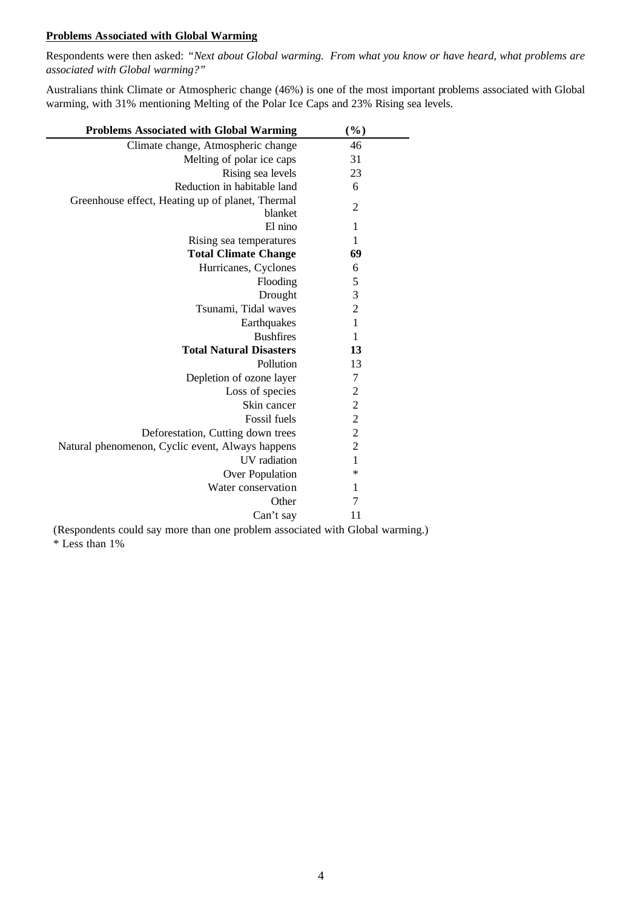# **Problems Associated with Global Warming**

Respondents were then asked: *"Next about Global warming. From what you know or have heard, what problems are associated with Global warming?"*

Australians think Climate or Atmospheric change (46%) is one of the most important problems associated with Global warming, with 31% mentioning Melting of the Polar Ice Caps and 23% Rising sea levels.

| <b>Problems Associated with Global Warming</b>              | $(\%)$                                     |
|-------------------------------------------------------------|--------------------------------------------|
| Climate change, Atmospheric change                          | 46                                         |
| Melting of polar ice caps                                   | 31                                         |
| Rising sea levels                                           | 23                                         |
| Reduction in habitable land                                 | 6                                          |
| Greenhouse effect, Heating up of planet, Thermal<br>blanket | $\overline{2}$                             |
| El nino                                                     | 1                                          |
| Rising sea temperatures                                     | 1                                          |
| <b>Total Climate Change</b>                                 | 69                                         |
| Hurricanes, Cyclones                                        | 6                                          |
| Flooding                                                    | 5                                          |
| Drought                                                     | 3                                          |
| Tsunami, Tidal waves                                        | $\overline{2}$                             |
| Earthquakes                                                 | $\mathbf{1}$                               |
| <b>Bushfires</b>                                            | $\mathbf{1}$                               |
| <b>Total Natural Disasters</b>                              | 13                                         |
| Pollution                                                   | 13                                         |
| Depletion of ozone layer                                    | 7                                          |
| Loss of species                                             | $\overline{\mathbf{c}}$                    |
| Skin cancer                                                 |                                            |
| <b>Fossil</b> fuels                                         | $\begin{array}{c} 2 \\ 2 \\ 2 \end{array}$ |
| Deforestation, Cutting down trees                           |                                            |
| Natural phenomenon, Cyclic event, Always happens            | $\overline{2}$                             |
| <b>IJV</b> radiation                                        | $\mathbf{1}$                               |
| Over Population                                             | $\ast$                                     |
| Water conservation                                          | 1                                          |
| Other                                                       | 7                                          |
| Can't say                                                   | 11                                         |
|                                                             |                                            |

(Respondents could say more than one problem associated with Global warming.) \* Less than 1%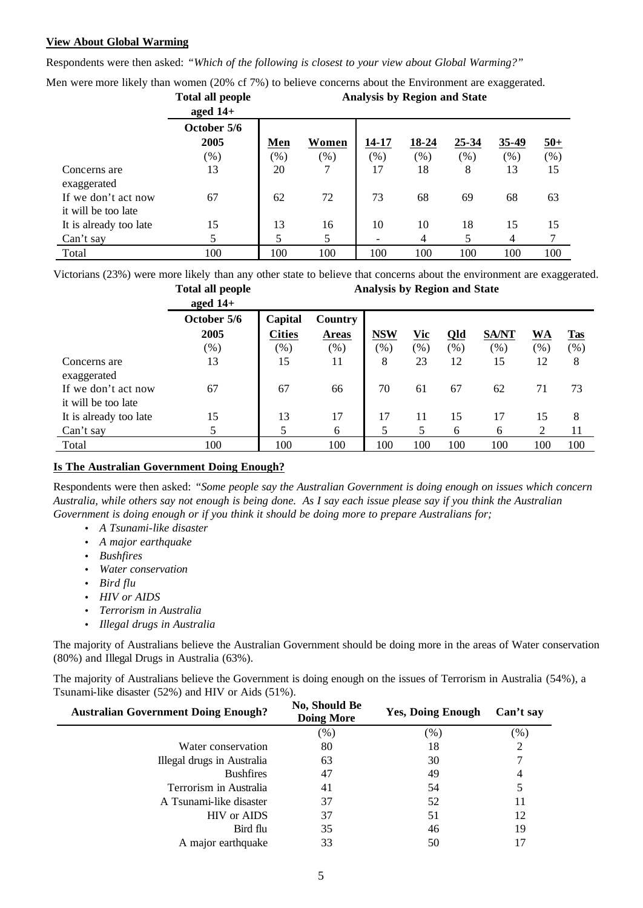#### **View About Global Warming**

Respondents were then asked: *"Which of the following is closest to your view about Global Warming?"*

Men were more likely than women (20% cf 7%) to believe concerns about the Environment are exaggerated. **Total all people Analysis by Region and State**

|                                            | aged $14+$          | Total all people<br>Analysis by Region and State |         |       |       |           |                |         |
|--------------------------------------------|---------------------|--------------------------------------------------|---------|-------|-------|-----------|----------------|---------|
|                                            | October 5/6<br>2005 | <u>Men</u>                                       | Women   | 14-17 | 18-24 | $25 - 34$ | 35-49          | $50+$   |
|                                            | (% )                | $(\% )$                                          | $(\% )$ | (% )  | (% )  | (% )      | (% )           | $(\% )$ |
| Concerns are<br>exaggerated                | 13                  | 20                                               | 7       | 17    | 18    | 8         | 13             | 15      |
| If we don't act now<br>it will be too late | 67                  | 62                                               | 72      | 73    | 68    | 69        | 68             | 63      |
| It is already too late                     | 15                  | 13                                               | 16      | 10    | 10    | 18        | 15             | 15      |
| Can't say                                  | 5                   |                                                  |         |       | 4     | 5         | $\overline{4}$ |         |
| Total                                      | 100                 | 100                                              | 100     | 100   | 100   | 100       | 100            | 100     |

Victorians (23%) were more likely than any other state to believe that concerns about the environment are exaggerated.

|                                            | <b>Total all people</b><br>aged $14+$ | <b>Analysis by Region and State</b> |                                        |                       |                       |             |                      |                  |                   |
|--------------------------------------------|---------------------------------------|-------------------------------------|----------------------------------------|-----------------------|-----------------------|-------------|----------------------|------------------|-------------------|
|                                            | October 5/6<br>2005<br>$(\%)$         | Capital<br><b>Cities</b><br>$(\%)$  | <b>Country</b><br><b>Areas</b><br>(% ) | <b>NSW</b><br>$(\% )$ | <u>Vic</u><br>$(\% )$ | Qld<br>(% ) | <b>SA/NT</b><br>(% ) | <u>WA</u><br>(%) | <b>Tas</b><br>(%) |
| Concerns are<br>exaggerated                | 13                                    | 15                                  | 11                                     | 8                     | 23                    | 12          | 15                   | 12               | 8                 |
| If we don't act now<br>it will be too late | 67                                    | 67                                  | 66                                     | 70                    | 61                    | 67          | 62                   | 71               | 73                |
| It is already too late                     | 15                                    | 13                                  | 17                                     | 17                    | 11                    | 15          | 17                   | 15               | 8                 |
| Can't say                                  | 5                                     |                                     | 6                                      | 5                     | 5                     | 6           | 6                    | 2                | 11                |
| Total                                      | 100                                   | 100                                 | 100                                    | 100                   | 100                   | 100         | 100                  | 100              | 100               |

## **Is The Australian Government Doing Enough?**

Respondents were then asked: *"Some people say the Australian Government is doing enough on issues which concern Australia, while others say not enough is being done. As I say each issue please say if you think the Australian Government is doing enough or if you think it should be doing more to prepare Australians for;*

- *A Tsunami-like disaster*
- *A major earthquake*
- *Bushfires*
- *Water conservation*
- *Bird flu*
- *HIV or AIDS*
- *Terrorism in Australia*
- *Illegal drugs in Australia*

The majority of Australians believe the Australian Government should be doing more in the areas of Water conservation (80%) and Illegal Drugs in Australia (63%).

The majority of Australians believe the Government is doing enough on the issues of Terrorism in Australia (54%), a Tsunami-like disaster (52%) and HIV or Aids (51%).

| <b>Australian Government Doing Enough?</b> | No, Should Be<br><b>Doing More</b> | <b>Yes, Doing Enough</b> | Can't say |
|--------------------------------------------|------------------------------------|--------------------------|-----------|
|                                            | $(\%)$                             | $(\%)$                   | $(\%)$    |
| Water conservation                         | 80                                 | 18                       | 2         |
| Illegal drugs in Australia                 | 63                                 | 30                       |           |
| <b>Bushfires</b>                           | 47                                 | 49                       | 4         |
| Terrorism in Australia                     | 41                                 | 54                       | 5         |
| A Tsunami-like disaster                    | 37                                 | 52                       | 11        |
| <b>HIV</b> or AIDS                         | 37                                 | 51                       | 12        |
| Bird flu                                   | 35                                 | 46                       | 19        |
| A major earthquake                         | 33                                 | 50                       | 17        |